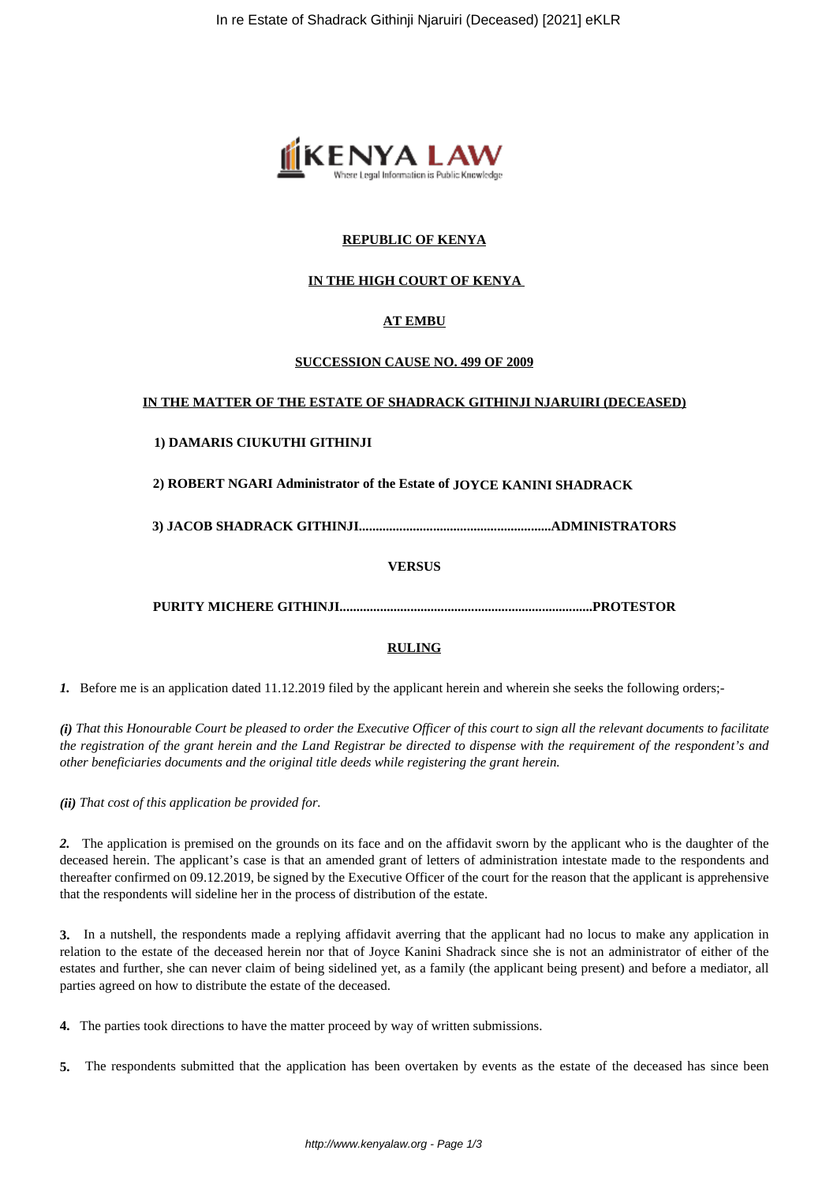

## **REPUBLIC OF KENYA**

# **IN THE HIGH COURT OF KENYA**

## **AT EMBU**

## **SUCCESSION CAUSE NO. 499 OF 2009**

### **IN THE MATTER OF THE ESTATE OF SHADRACK GITHINJI NJARUIRI (DECEASED)**

## **1) DAMARIS CIUKUTHI GITHINJI**

**2) ROBERT NGARI Administrator of the Estate of JOYCE KANINI SHADRACK**

**3) JACOB SHADRACK GITHINJI.........................................................ADMINISTRATORS**

**VERSUS**

**PURITY MICHERE GITHINJI...........................................................................PROTESTOR**

## **RULING**

*1.* Before me is an application dated 11.12.2019 filed by the applicant herein and wherein she seeks the following orders;-

*(i) That this Honourable Court be pleased to order the Executive Officer of this court to sign all the relevant documents to facilitate the registration of the grant herein and the Land Registrar be directed to dispense with the requirement of the respondent's and other beneficiaries documents and the original title deeds while registering the grant herein.*

*(ii) That cost of this application be provided for.*

*2.* The application is premised on the grounds on its face and on the affidavit sworn by the applicant who is the daughter of the deceased herein. The applicant's case is that an amended grant of letters of administration intestate made to the respondents and thereafter confirmed on 09.12.2019, be signed by the Executive Officer of the court for the reason that the applicant is apprehensive that the respondents will sideline her in the process of distribution of the estate.

**3.** In a nutshell, the respondents made a replying affidavit averring that the applicant had no locus to make any application in relation to the estate of the deceased herein nor that of Joyce Kanini Shadrack since she is not an administrator of either of the estates and further, she can never claim of being sidelined yet, as a family (the applicant being present) and before a mediator, all parties agreed on how to distribute the estate of the deceased.

**4.** The parties took directions to have the matter proceed by way of written submissions.

**5.** The respondents submitted that the application has been overtaken by events as the estate of the deceased has since been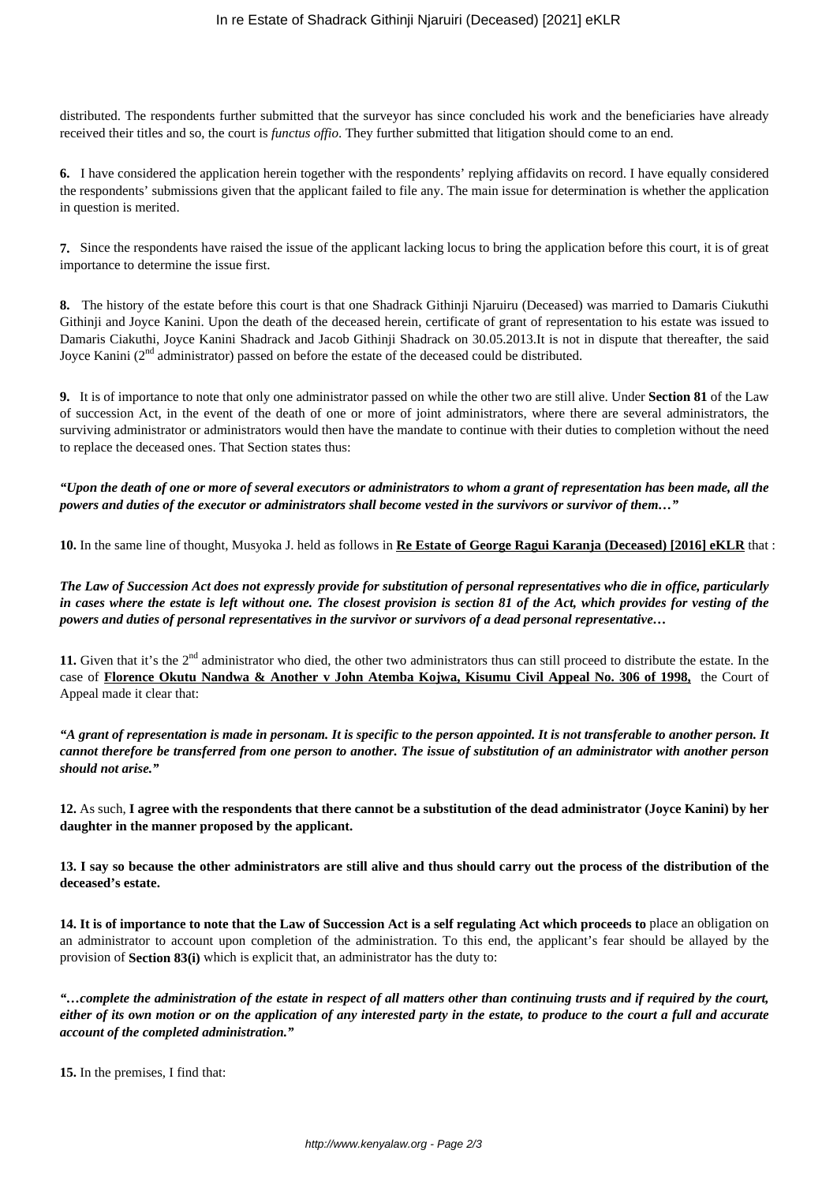distributed. The respondents further submitted that the surveyor has since concluded his work and the beneficiaries have already received their titles and so, the court is *functus offio*. They further submitted that litigation should come to an end.

**6.** I have considered the application herein together with the respondents' replying affidavits on record. I have equally considered the respondents' submissions given that the applicant failed to file any. The main issue for determination is whether the application in question is merited.

**7.** Since the respondents have raised the issue of the applicant lacking locus to bring the application before this court, it is of great importance to determine the issue first.

**8.** The history of the estate before this court is that one Shadrack Githinji Njaruiru (Deceased) was married to Damaris Ciukuthi Githinji and Joyce Kanini. Upon the death of the deceased herein, certificate of grant of representation to his estate was issued to Damaris Ciakuthi, Joyce Kanini Shadrack and Jacob Githinji Shadrack on 30.05.2013.It is not in dispute that thereafter, the said Joyce Kanini (2<sup>nd</sup> administrator) passed on before the estate of the deceased could be distributed.

**9.** It is of importance to note that only one administrator passed on while the other two are still alive. Under **Section 81** of the Law of succession Act, in the event of the death of one or more of joint administrators, where there are several administrators, the surviving administrator or administrators would then have the mandate to continue with their duties to completion without the need to replace the deceased ones. That Section states thus:

*"Upon the death of one or more of several executors or administrators to whom a grant of representation has been made, all the powers and duties of the executor or administrators shall become vested in the survivors or survivor of them…"*

**10.** In the same line of thought, Musyoka J. held as follows in **Re Estate of George Ragui Karanja (Deceased) [2016] eKLR** that :

*The Law of Succession Act does not expressly provide for substitution of personal representatives who die in office, particularly in cases where the estate is left without one. The closest provision is section 81 of the Act, which provides for vesting of the powers and duties of personal representatives in the survivor or survivors of a dead personal representative…*

11. Given that it's the 2<sup>nd</sup> administrator who died, the other two administrators thus can still proceed to distribute the estate. In the case of **Florence Okutu Nandwa & Another v John Atemba Kojwa, Kisumu Civil Appeal No. 306 of 1998,** the Court of Appeal made it clear that:

*"A grant of representation is made in personam. It is specific to the person appointed. It is not transferable to another person. It cannot therefore be transferred from one person to another. The issue of substitution of an administrator with another person should not arise."*

**12.** As such, **I agree with the respondents that there cannot be a substitution of the dead administrator (Joyce Kanini) by her daughter in the manner proposed by the applicant.**

**13. I say so because the other administrators are still alive and thus should carry out the process of the distribution of the deceased's estate.**

**14. It is of importance to note that the Law of Succession Act is a self regulating Act which proceeds to** place an obligation on an administrator to account upon completion of the administration. To this end, the applicant's fear should be allayed by the provision of **Section 83(i)** which is explicit that, an administrator has the duty to:

*"…complete the administration of the estate in respect of all matters other than continuing trusts and if required by the court, either of its own motion or on the application of any interested party in the estate, to produce to the court a full and accurate account of the completed administration."*

**15.** In the premises, I find that: